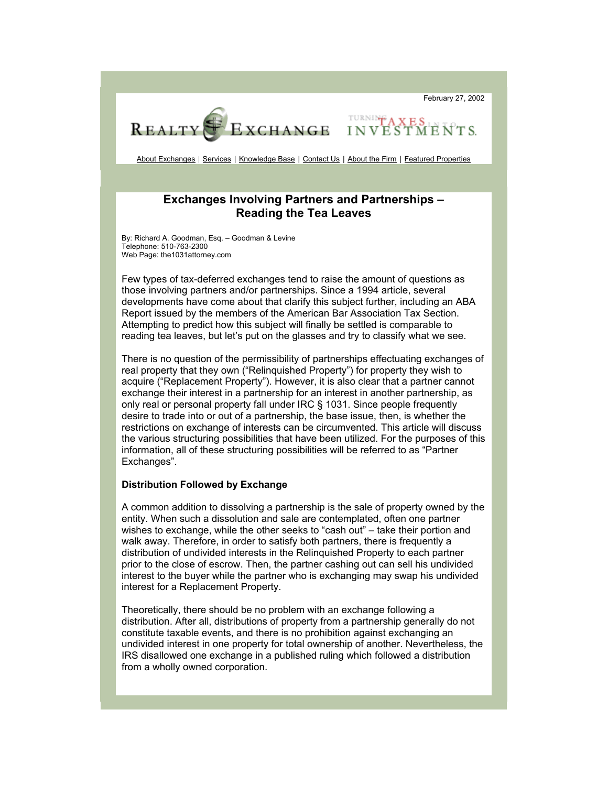February 27, 2002



About Exchanges | Services | Knowledge Base | Contact Us | About the Firm | Featured Properties

**TURNING A** 

INVES

# **Exchanges Involving Partners and Partnerships – Reading the Tea Leaves**

By: Richard A. Goodman, Esq. – Goodman & Levine Telephone: 510-763-2300 Web Page: the1031attorney.com

Few types of tax-deferred exchanges tend to raise the amount of questions as those involving partners and/or partnerships. Since a 1994 article, several developments have come about that clarify this subject further, including an ABA Report issued by the members of the American Bar Association Tax Section. Attempting to predict how this subject will finally be settled is comparable to reading tea leaves, but let's put on the glasses and try to classify what we see.

There is no question of the permissibility of partnerships effectuating exchanges of real property that they own ("Relinquished Property") for property they wish to acquire ("Replacement Property"). However, it is also clear that a partner cannot exchange their interest in a partnership for an interest in another partnership, as only real or personal property fall under IRC § 1031. Since people frequently desire to trade into or out of a partnership, the base issue, then, is whether the restrictions on exchange of interests can be circumvented. This article will discuss the various structuring possibilities that have been utilized. For the purposes of this information, all of these structuring possibilities will be referred to as "Partner Exchanges".

### **Distribution Followed by Exchange**

A common addition to dissolving a partnership is the sale of property owned by the entity. When such a dissolution and sale are contemplated, often one partner wishes to exchange, while the other seeks to "cash out" – take their portion and walk away. Therefore, in order to satisfy both partners, there is frequently a distribution of undivided interests in the Relinquished Property to each partner prior to the close of escrow. Then, the partner cashing out can sell his undivided interest to the buyer while the partner who is exchanging may swap his undivided interest for a Replacement Property.

Theoretically, there should be no problem with an exchange following a distribution. After all, distributions of property from a partnership generally do not constitute taxable events, and there is no prohibition against exchanging an undivided interest in one property for total ownership of another. Nevertheless, the IRS disallowed one exchange in a published ruling which followed a distribution from a wholly owned corporation.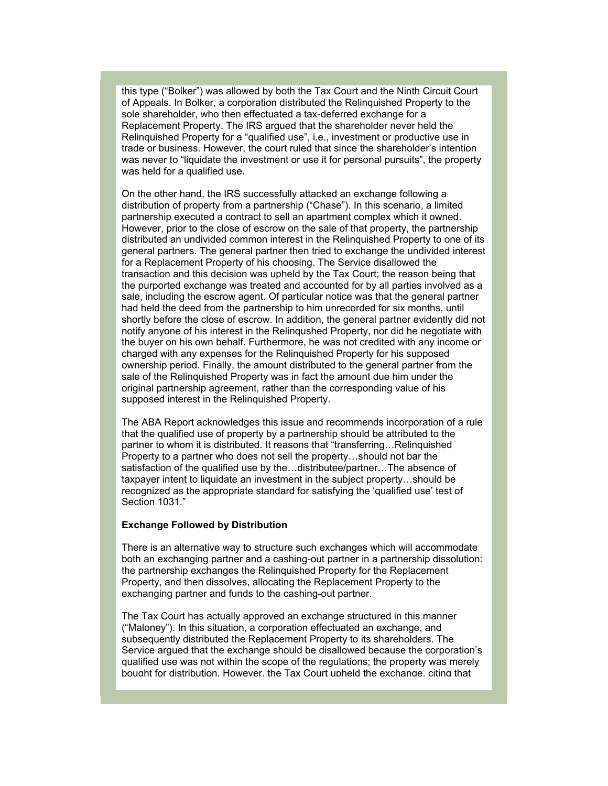this type ("Bolker") was allowed by both the Tax Court and the Ninth Circuit Court of Appeals. In Bolker, a corporation distributed the Relinquished Property to the sole shareholder, who then effectuated a tax-deferred exchange for a Replacement Property. The IRS argued that the shareholder never held the Relinquished Property for a "qualified use", i.e., investment or productive use in trade or business. However, the court ruled that since the shareholder's intention was never to "liquidate the investment or use it for personal pursuits", the property was held for a qualified use.

On the other hand, the IRS successfully attacked an exchange following a distribution of property from a partnership ("Chase"). In this scenario, a limited partnership executed a contract to sell an apartment complex which it owned. However, prior to the close of escrow on the sale of that property, the partnership distributed an undivided common interest in the Relinquished Property to one of its general partners. The general partner then tried to exchange the undivided interest for a Replacement Property of his choosing. The Service disallowed the transaction and this decision was upheld by the Tax Court; the reason being that the purported exchange was treated and accounted for by all parties involved as a sale, including the escrow agent. Of particular notice was that the general partner had held the deed from the partnership to him unrecorded for six months, until shortly before the close of escrow. In addition, the general partner evidently did not notify anyone of his interest in the Relinqushed Property, nor did he negotiate with the buyer on his own behalf. Furthermore, he was not credited with any income or charged with any expenses for the Relinquished Property for his supposed ownership period. Finally, the amount distributed to the general partner from the sale of the Relinquished Property was in fact the amount due him under the original partnership agreement, rather than the corresponding value of his supposed interest in the Relinquished Property.

The ABA Report acknowledges this issue and recommends incorporation of a rule that the qualified use of property by a partnership should be attributed to the partner to whom it is distributed. It reasons that "transferring…Relinquished Property to a partner who does not sell the property…should not bar the satisfaction of the qualified use by the…distributee/partner…The absence of taxpayer intent to liquidate an investment in the subject property…should be recognized as the appropriate standard for satisfying the 'qualified use' test of Section 1031."

# **Exchange Followed by Distribution**

There is an alternative way to structure such exchanges which will accommodate both an exchanging partner and a cashing-out partner in a partnership dissolution: the partnership exchanges the Relinquished Property for the Replacement Property, and then dissolves, allocating the Replacement Property to the exchanging partner and funds to the cashing-out partner.

The Tax Court has actually approved an exchange structured in this manner ("Maloney"). In this situation, a corporation effectuated an exchange, and subsequently distributed the Replacement Property to its shareholders. The Service argued that the exchange should be disallowed because the corporation's qualified use was not within the scope of the regulations; the property was merely bought for distribution. However, the Tax Court upheld the exchange, citing that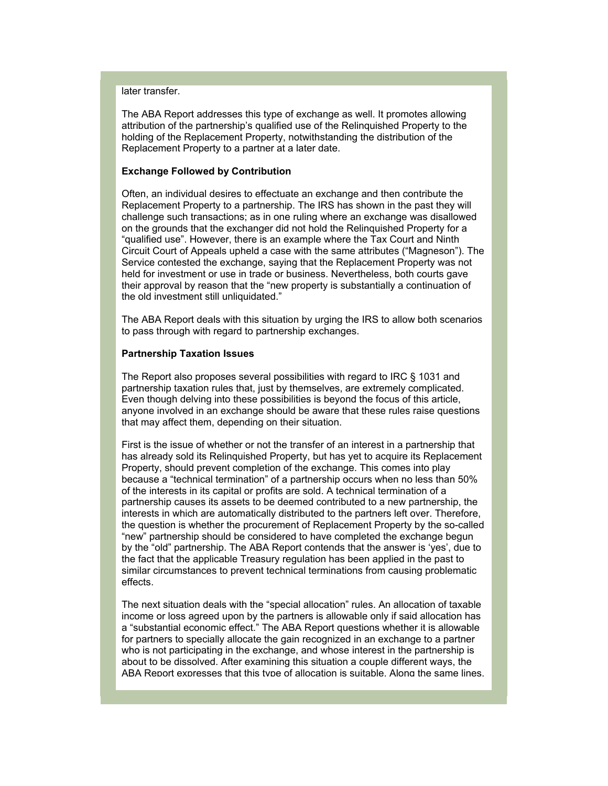later transfer.

The ABA Report addresses this type of exchange as well. It promotes allowing attribution of the partnership's qualified use of the Relinquished Property to the holding of the Replacement Property, notwithstanding the distribution of the Replacement Property to a partner at a later date.

#### **Exchange Followed by Contribution**

Often, an individual desires to effectuate an exchange and then contribute the Replacement Property to a partnership. The IRS has shown in the past they will challenge such transactions; as in one ruling where an exchange was disallowed on the grounds that the exchanger did not hold the Relinquished Property for a "qualified use". However, there is an example where the Tax Court and Ninth Circuit Court of Appeals upheld a case with the same attributes ("Magneson"). The Service contested the exchange, saying that the Replacement Property was not held for investment or use in trade or business. Nevertheless, both courts gave their approval by reason that the "new property is substantially a continuation of the old investment still unliquidated."

The ABA Report deals with this situation by urging the IRS to allow both scenarios to pass through with regard to partnership exchanges.

#### **Partnership Taxation Issues**

The Report also proposes several possibilities with regard to IRC § 1031 and partnership taxation rules that, just by themselves, are extremely complicated. Even though delving into these possibilities is beyond the focus of this article, anyone involved in an exchange should be aware that these rules raise questions that may affect them, depending on their situation.

First is the issue of whether or not the transfer of an interest in a partnership that has already sold its Relinquished Property, but has yet to acquire its Replacement Property, should prevent completion of the exchange. This comes into play because a "technical termination" of a partnership occurs when no less than 50% of the interests in its capital or profits are sold. A technical termination of a partnership causes its assets to be deemed contributed to a new partnership, the interests in which are automatically distributed to the partners left over. Therefore, the question is whether the procurement of Replacement Property by the so-called "new" partnership should be considered to have completed the exchange begun by the "old" partnership. The ABA Report contends that the answer is 'yes', due to the fact that the applicable Treasury regulation has been applied in the past to similar circumstances to prevent technical terminations from causing problematic effects.

The next situation deals with the "special allocation" rules. An allocation of taxable income or loss agreed upon by the partners is allowable only if said allocation has a "substantial economic effect." The ABA Report questions whether it is allowable for partners to specially allocate the gain recognized in an exchange to a partner who is not participating in the exchange, and whose interest in the partnership is about to be dissolved. After examining this situation a couple different ways, the ABA Report expresses that this type of allocation is suitable. Along the same lines,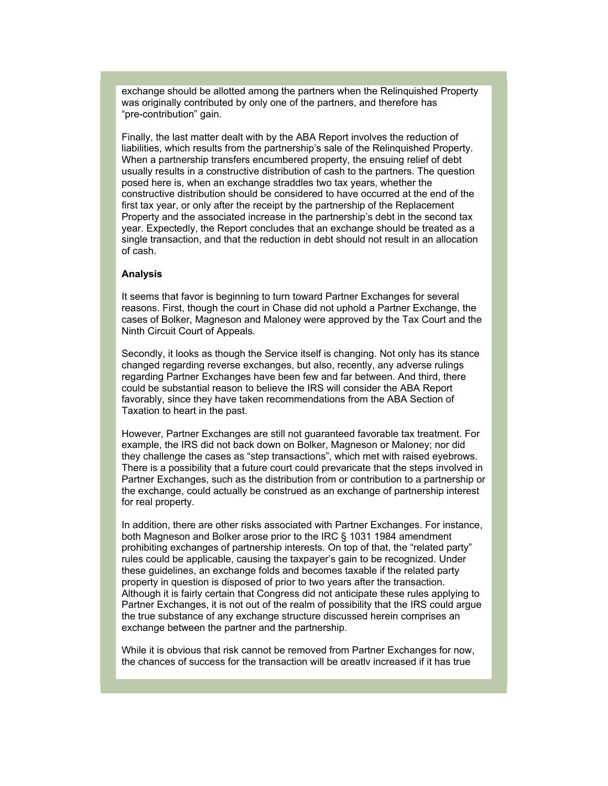exchange should be allotted among the partners when the Relinquished Property was originally contributed by only one of the partners, and therefore has "pre-contribution" gain.

Finally, the last matter dealt with by the ABA Report involves the reduction of liabilities, which results from the partnership's sale of the Relinquished Property. When a partnership transfers encumbered property, the ensuing relief of debt usually results in a constructive distribution of cash to the partners. The question posed here is, when an exchange straddles two tax years, whether the constructive distribution should be considered to have occurred at the end of the first tax year, or only after the receipt by the partnership of the Replacement Property and the associated increase in the partnership's debt in the second tax year. Expectedly, the Report concludes that an exchange should be treated as a single transaction, and that the reduction in debt should not result in an allocation of cash.

#### **Analysis**

It seems that favor is beginning to turn toward Partner Exchanges for several reasons. First, though the court in Chase did not uphold a Partner Exchange, the cases of Bolker, Magneson and Maloney were approved by the Tax Court and the Ninth Circuit Court of Appeals.

Secondly, it looks as though the Service itself is changing. Not only has its stance changed regarding reverse exchanges, but also, recently, any adverse rulings regarding Partner Exchanges have been few and far between. And third, there could be substantial reason to believe the IRS will consider the ABA Report favorably, since they have taken recommendations from the ABA Section of Taxation to heart in the past.

However, Partner Exchanges are still not guaranteed favorable tax treatment. For example, the IRS did not back down on Bolker, Magneson or Maloney; nor did they challenge the cases as "step transactions", which met with raised eyebrows. There is a possibility that a future court could prevaricate that the steps involved in Partner Exchanges, such as the distribution from or contribution to a partnership or the exchange, could actually be construed as an exchange of partnership interest for real property.

In addition, there are other risks associated with Partner Exchanges. For instance, both Magneson and Bolker arose prior to the IRC § 1031 1984 amendment prohibiting exchanges of partnership interests. On top of that, the "related party" rules could be applicable, causing the taxpayer's gain to be recognized. Under these guidelines, an exchange folds and becomes taxable if the related party property in question is disposed of prior to two years after the transaction. Although it is fairly certain that Congress did not anticipate these rules applying to Partner Exchanges, it is not out of the realm of possibility that the IRS could argue the true substance of any exchange structure discussed herein comprises an exchange between the partner and the partnership.

While it is obvious that risk cannot be removed from Partner Exchanges for now, the chances of success for the transaction will be greatly increased if it has true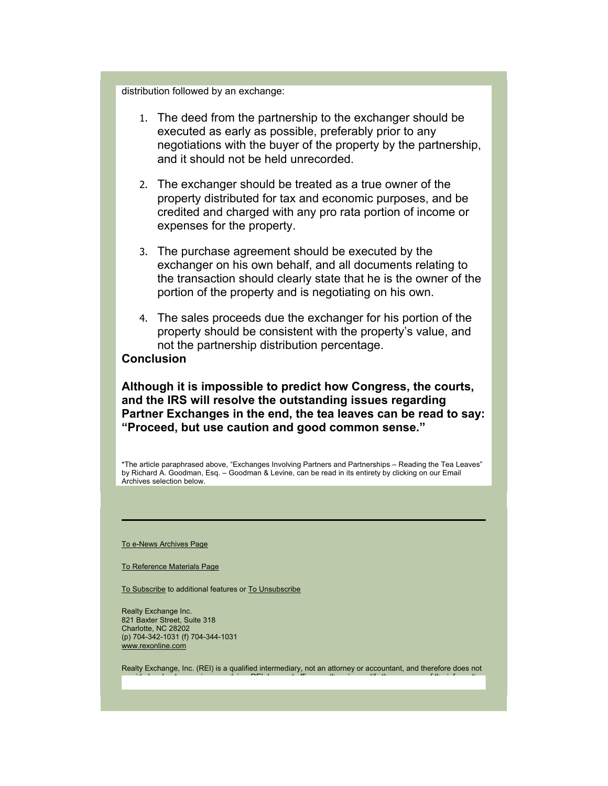distribution followed by an exchange:

- 1. The deed from the partnership to the exchanger should be executed as early as possible, preferably prior to any negotiations with the buyer of the property by the partnership, and it should not be held unrecorded.
- 2. The exchanger should be treated as a true owner of the property distributed for tax and economic purposes, and be credited and charged with any pro rata portion of income or expenses for the property.
- 3. The purchase agreement should be executed by the exchanger on his own behalf, and all documents relating to the transaction should clearly state that he is the owner of the portion of the property and is negotiating on his own.
- 4. The sales proceeds due the exchanger for his portion of the property should be consistent with the property's value, and not the partnership distribution percentage.

# **Conclusion**

**Although it is impossible to predict how Congress, the courts, and the IRS will resolve the outstanding issues regarding Partner Exchanges in the end, the tea leaves can be read to say: "Proceed, but use caution and good common sense."** 

\*The article paraphrased above, "Exchanges Involving Partners and Partnerships – Reading the Tea Leaves" by Richard A. Goodman, Esq. – Goodman & Levine, can be read in its entirety by clicking on our Email Archives selection below.

To e-News Archives Page

To Reference Materials Page

To Subscribe to additional features or To Unsubscribe

Realty Exchange Inc. 821 Baxter Street, Suite 318 Charlotte, NC 28202 (p) 704-342-1031 (f) 704-344-1031 www.rexonline.com

Realty Exchange, Inc. (REI) is a qualified intermediary, not an attorney or accountant, and therefore does not id l t i di REI tif th i tif the set  $\mathbf{f}$